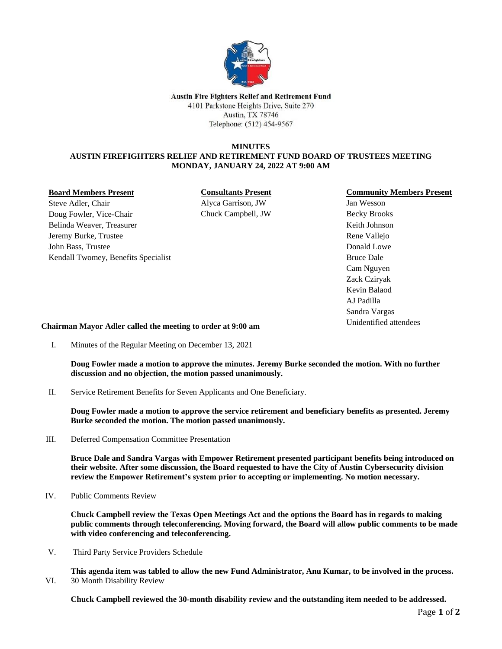

Austin Fire Fighters Relief and Retirement Fund 4101 Parkstone Heights Drive, Suite 270 Austin, TX 78746 Telephone: (512) 454-9567

# **MINUTES AUSTIN FIREFIGHTERS RELIEF AND RETIREMENT FUND BOARD OF TRUSTEES MEETING MONDAY, JANUARY 24, 2022 AT 9:00 AM**

#### **Board Members Present**

Steve Adler, Chair Doug Fowler, Vice-Chair Belinda Weaver, Treasurer Jeremy Burke, Trustee John Bass, Trustee Kendall Twomey, Benefits Specialist **Consultants Present** Alyca Garrison, JW Chuck Campbell, JW

## **Community Members Present**

Jan Wesson Becky Brooks Keith Johnson Rene Vallejo Donald Lowe Bruce Dale Cam Nguyen Zack Cziryak Kevin Balaod AJ Padilla Sandra Vargas Unidentified attendees

**Chairman Mayor Adler called the meeting to order at 9:00 am**

I. Minutes of the Regular Meeting on December 13, 2021

**Doug Fowler made a motion to approve the minutes. Jeremy Burke seconded the motion. With no further discussion and no objection, the motion passed unanimously.**

II. Service Retirement Benefits for Seven Applicants and One Beneficiary.

**Doug Fowler made a motion to approve the service retirement and beneficiary benefits as presented. Jeremy Burke seconded the motion. The motion passed unanimously.** 

III. Deferred Compensation Committee Presentation

**Bruce Dale and Sandra Vargas with Empower Retirement presented participant benefits being introduced on their website. After some discussion, the Board requested to have the City of Austin Cybersecurity division review the Empower Retirement's system prior to accepting or implementing. No motion necessary.**

IV. Public Comments Review

**Chuck Campbell review the Texas Open Meetings Act and the options the Board has in regards to making public comments through teleconferencing. Moving forward, the Board will allow public comments to be made with video conferencing and teleconferencing.** 

V. Third Party Service Providers Schedule

**This agenda item was tabled to allow the new Fund Administrator, Anu Kumar, to be involved in the process.** VI. 30 Month Disability Review

**Chuck Campbell reviewed the 30-month disability review and the outstanding item needed to be addressed.**